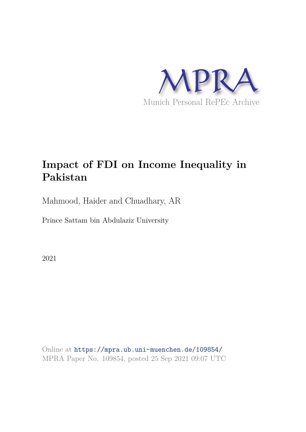

# **Impact of FDI on Income Inequality in Pakistan**

Mahmood, Haider and Chuadhary, AR

Prince Sattam bin Abdulaziz University

2021

Online at https://mpra.ub.uni-muenchen.de/109854/ MPRA Paper No. 109854, posted 25 Sep 2021 09:07 UTC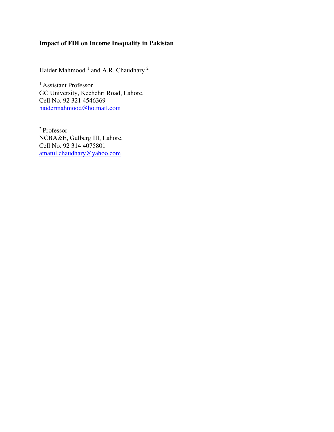# **Impact of FDI on Income Inequality in Pakistan**

Haider Mahmood  $^1$  and A.R. Chaudhary  $^2$ 

<sup>1</sup> Assistant Professor GC University, Kechehri Road, Lahore. Cell No. 92 321 4546369 [haidermahmood@hotmail.com](mailto:haidermahmood@hotmail.com) 

<sup>2</sup> Professor NCBA&E, Gulberg III, Lahore. Cell No. 92 314 4075801 [amatul.chaudhary@yahoo.com](mailto:amatul.chaudhary@yahoo.com)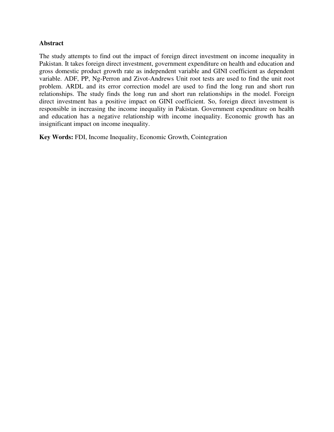## **Abstract**

The study attempts to find out the impact of foreign direct investment on income inequality in Pakistan. It takes foreign direct investment, government expenditure on health and education and gross domestic product growth rate as independent variable and GINI coefficient as dependent variable. ADF, PP, Ng-Perron and Zivot-Andrews Unit root tests are used to find the unit root problem. ARDL and its error correction model are used to find the long run and short run relationships. The study finds the long run and short run relationships in the model. Foreign direct investment has a positive impact on GINI coefficient. So, foreign direct investment is responsible in increasing the income inequality in Pakistan. Government expenditure on health and education has a negative relationship with income inequality. Economic growth has an insignificant impact on income inequality.

**Key Words:** FDI, Income Inequality, Economic Growth, Cointegration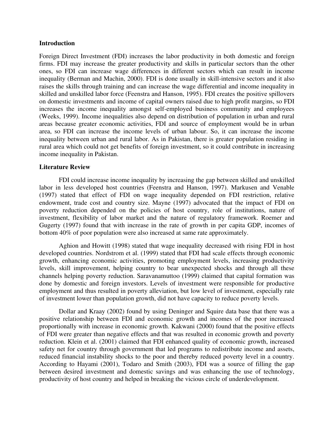#### **Introduction**

Foreign Direct Investment (FDI) increases the labor productivity in both domestic and foreign firms. FDI may increase the greater productivity and skills in particular sectors than the other ones, so FDI can increase wage differences in different sectors which can result in income inequality (Berman and Machin, 2000). FDI is done usually in skill-intensive sectors and it also raises the skills through training and can increase the wage differential and income inequality in skilled and unskilled labor force (Feenstra and Hanson, 1995). FDI creates the positive spillovers on domestic investments and income of capital owners raised due to high profit margins, so FDI increases the income inequality amongst self-employed business community and employees (Weeks, 1999). Income inequalities also depend on distribution of population in urban and rural areas because greater economic activities, FDI and source of employment would be in urban area, so FDI can increase the income levels of urban labour. So, it can increase the income inequality between urban and rural labor. As in Pakistan, there is greater population residing in rural area which could not get benefits of foreign investment, so it could contribute in increasing income inequality in Pakistan.

#### **Literature Review**

FDI could increase income inequality by increasing the gap between skilled and unskilled labor in less developed host countries (Feenstra and Hanson, 1997). Markusen and Venable (1997) stated that effect of FDI on wage inequality depended on FDI restriction, relative endowment, trade cost and country size. Mayne (1997) advocated that the impact of FDI on poverty reduction depended on the policies of host country, role of institutions, nature of investment, flexibility of labor market and the nature of regulatory framework. Roemer and Gugerty (1997) found that with increase in the rate of growth in per capita GDP, incomes of bottom 40% of poor population were also increased at same rate approximately.

Aghion and Howitt (1998) stated that wage inequality decreased with rising FDI in host developed countries. Nordstrom et al. (1999) stated that FDI had scale effects through economic growth, enhancing economic activities, promoting employment levels, increasing productivity levels, skill improvement, helping country to bear unexpected shocks and through all these channels helping poverty reduction. Saravanamuttoo (1999) claimed that capital formation was done by domestic and foreign investors. Levels of investment were responsible for productive employment and thus resulted in poverty alleviation, but low level of investment, especially rate of investment lower than population growth, did not have capacity to reduce poverty levels.

Dollar and Kraay (2002) found by using Deninger and Squire data base that there was a positive relationship between FDI and economic growth and incomes of the poor increased proportionally with increase in economic growth. Kakwani (2000) found that the positive effects of FDI were greater than negative effects and that was resulted in economic growth and poverty reduction. Klein et al. (2001) claimed that FDI enhanced quality of economic growth, increased safety net for country through government that led programs to redistribute income and assets, reduced financial instability shocks to the poor and thereby reduced poverty level in a country. According to Hayami (2001), Todaro and Smith (2003), FDI was a source of filling the gap between desired investment and domestic savings and was enhancing the use of technology, productivity of host country and helped in breaking the vicious circle of underdevelopment.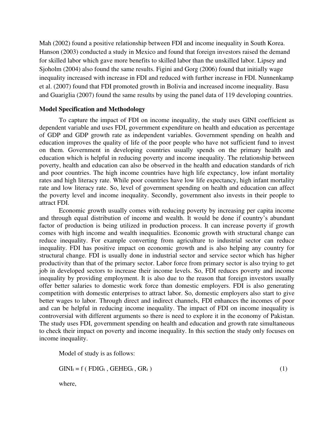Mah (2002) found a positive relationship between FDI and income inequality in South Korea. Hanson (2003) conducted a study in Mexico and found that foreign investors raised the demand for skilled labor which gave more benefits to skilled labor than the unskilled labor. Lipsey and Sjoholm (2004) also found the same results. Figini and Gorg (2006) found that initially wage inequality increased with increase in FDI and reduced with further increase in FDI. Nunnenkamp et al. (2007) found that FDI promoted growth in Bolivia and increased income inequality. Basu and Guariglia (2007) found the same results by using the panel data of 119 developing countries.

#### **Model Specification and Methodology**

To capture the impact of FDI on income inequality, the study uses GINI coefficient as dependent variable and uses FDI, government expenditure on health and education as percentage of GDP and GDP growth rate as independent variables. Government spending on health and education improves the quality of life of the poor people who have not sufficient fund to invest on them. Government in developing countries usually spends on the primary health and education which is helpful in reducing poverty and income inequality. The relationship between poverty, health and education can also be observed in the health and education standards of rich and poor countries. The high income countries have high life expectancy, low infant mortality rates and high literacy rate. While poor countries have low life expectancy, high infant mortality rate and low literacy rate. So, level of government spending on health and education can affect the poverty level and income inequality. Secondly, government also invests in their people to attract FDI.

Economic growth usually comes with reducing poverty by increasing per capita income and through equal distribution of income and wealth. It would be done if country's abundant factor of production is being utilized in production process. It can increase poverty if growth comes with high income and wealth inequalities. Economic growth with structural change can reduce inequality. For example converting from agriculture to industrial sector can reduce inequality. FDI has positive impact on economic growth and is also helping any country for structural change. FDI is usually done in industrial sector and service sector which has higher productivity than that of the primary sector. Labor force from primary sector is also trying to get job in developed sectors to increase their income levels. So, FDI reduces poverty and income inequality by providing employment. It is also due to the reason that foreign investors usually offer better salaries to domestic work force than domestic employers. FDI is also generating competition with domestic enterprises to attract labor. So, domestic employers also start to give better wages to labor. Through direct and indirect channels, FDI enhances the incomes of poor and can be helpful in reducing income inequality. The impact of FDI on income inequality is controversial with different arguments so there is need to explore it in the economy of Pakistan. The study uses FDI, government spending on health and education and growth rate simultaneous to check their impact on poverty and income inequality. In this section the study only focuses on income inequality.

Model of study is as follows:

 $GINI_t = f (FDIG_t, GEHEG_t, GR_t)$  (1)

where,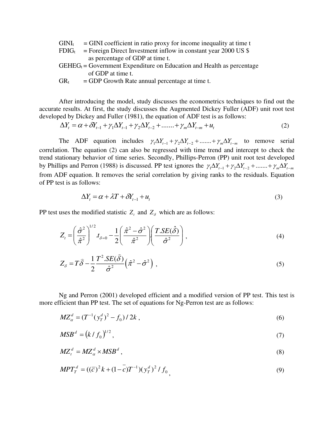- $GINI<sub>t</sub> = GINI coefficient in ratio proxy for income inequality at time t$
- $FDIG<sub>t</sub>$  = Foreign Direct Investment inflow in constant year 2000 US \$ as percentage of GDP at time t.
- $GEHEG_t = Government Expenditure on Education and Health as percentage$ of GDP at time t.
- $GR_t$  = GDP Growth Rate annual percentage at time t.

After introducing the model, study discusses the econometrics techniques to find out the accurate results. At first, the study discusses the Augmented Dickey Fuller (ADF) unit root test developed by Dickey and Fuller (1981), the equation of ADF test is as follows:

$$
\Delta Y_t = \alpha + \delta Y_{t-1} + \gamma_1 \Delta Y_{t-1} + \gamma_2 \Delta Y_{t-2} + \dots + \gamma_m \Delta Y_{t-m} + u_t
$$
\n(2)

The ADF equation includes  $\gamma_1 \Delta Y_{t-1} + \gamma_2 \Delta Y_{t-2} + \dots + \gamma_m \Delta Y_{t-m}$  to remove serial correlation. The equation (2) can also be regressed with time trend and intercept to check the trend stationary behavior of time series. Secondly, Phillips-Perron (PP) unit root test developed by Phillips and Perron (1988) is discussed. PP test ignores the  $\gamma_1 \Delta Y_{t-1} + \gamma_2 \Delta Y_{t-2} + \dots + \gamma_m \Delta Y_{t-m}$ from ADF equation. It removes the serial correlation by giving ranks to the residuals. Equation of PP test is as follows:

$$
\Delta Y_t = \alpha + \lambda T + \delta Y_{t-1} + u_t \tag{3}
$$

PP test uses the modified statistic  $Z_t$  and  $Z_s$  which are as follows:

$$
Z_{t} = \left(\frac{\hat{\sigma}^{2}}{\hat{\pi}^{2}}\right)^{1/2} t_{\delta=0} - \frac{1}{2} \left(\frac{\hat{\pi}^{2} - \hat{\sigma}^{2}}{\hat{\pi}^{2}}\right) \left(\frac{T \cdot SE(\hat{\delta})}{\hat{\sigma}^{2}}\right), \tag{4}
$$

$$
Z_{\delta} = T\hat{\delta} - \frac{1}{2} \frac{T^2 \cdot SE(\hat{\delta})}{\hat{\sigma}^2} \left(\hat{\pi}^2 - \hat{\sigma}^2\right) , \qquad (5)
$$

Ng and Perron (2001) developed efficient and a modified version of PP test. This test is more efficient than PP test. The set of equations for Ng-Perron test are as follows:

$$
MZ_{\alpha}^{d} = (T^{-1}(y_T^d)^2 - f_0)/2k,
$$
\n(6)

$$
MSB^d = (k/f_0)^{1/2},\tag{7}
$$

$$
MZ_t^d = MZ_\alpha^d \times MSB^d \,,\tag{8}
$$

$$
MPT_T^d = ((\overline{c})^2 k + (1 - \overline{c})T^{-1})(y_T^d)^2 / f_0,
$$
\n(9)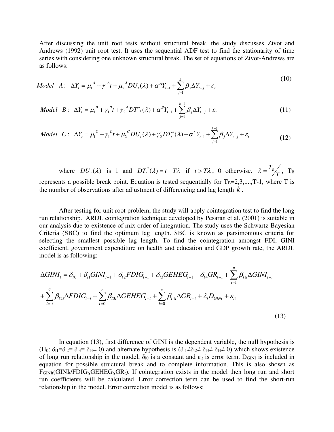After discussing the unit root tests without structural break, the study discusses Zivot and Andrews (1992) unit root test. It uses the sequential ADF test to find the stationarity of time series with considering one unknown structural break. The set of equations of Zivot-Andrews are as follows:

*Model A*: 
$$
\Delta Y_t = \mu_1^A + \gamma_1^A t + \mu_2^A DU_t(\lambda) + \alpha^A Y_{t-1} + \sum_{j=1}^k \beta_j \Delta Y_{t-j} + \varepsilon_t
$$
 (10)

*Model* 
$$
B: \Delta Y_t = \mu_1^B + \gamma_1^B t + \gamma_2^A DT^*(\lambda) + \alpha^B Y_{t-1} + \sum_{j=1}^{k-1} \beta_j \Delta Y_{t-j} + \varepsilon_t
$$
 (11)

*Model* 
$$
C: \Delta Y_t = \mu_1^C + \gamma_1^C t + \mu_2^C DU_t(\lambda) + \gamma_2^C DT_t^*(\lambda) + \alpha^C Y_{t-1} + \sum_{j=1}^{k-1} \beta_j \Delta Y_{t-j} + \varepsilon_t
$$
 (12)

where  $DU_{t}(\lambda)$  is 1 and  $DT_{t}^{*}(\lambda) = t - T\lambda$  if  $t > T\lambda$ , 0 otherwise.  $\lambda = T_{B} / T$ , T<sub>B</sub> represents a possible break point. Equation is tested sequentially for  $T_B=2,3,...,T-1$ , where T is the number of observations after adjustment of differencing and lag length *k* .

After testing for unit root problem, the study will apply cointegration test to find the long run relationship. ARDL cointegration technique developed by Pesaran et al. (2001) is suitable in our analysis due to existence of mix order of integration. The study uses the Schwartz-Bayesian Criteria (SBC) to find the optimum lag length. SBC is known as parsimonious criteria for selecting the smallest possible lag length. To find the cointegration amongst FDI, GINI coefficient, government expenditure on health and education and GDP growth rate, the ARDL model is as following:

$$
\Delta GINI_{t} = \delta_{l0} + \delta_{l1} GINI_{t-1} + \delta_{l2} FDIG_{t-1} + \delta_{l3} GEHEG_{t-1} + \delta_{l4} GR_{t-1} + \sum_{i=1}^{p} \beta_{l1i} \Delta GINI_{t-i} + \sum_{i=0}^{q} \beta_{l2i} \Delta FDIG_{t-i} + \sum_{i=0}^{r} \beta_{l3i} \Delta GEHEG_{t-i} + \sum_{i=0}^{s} \beta_{l4i} \Delta GR_{t-i} + \lambda_{l} D_{GINI} + \varepsilon_{lt}
$$
\n(13)

In equation (13), first difference of GINI is the dependent variable, the null hypothesis is (H<sub>0</sub>:  $\delta_{11}=\delta_{12}=\delta_{13}=\delta_{14}=0$ ) and alternate hypothesis is  $(\delta_{11}\neq \delta_{12}\neq \delta_{13}\neq \delta_{14}\neq 0)$  which shows existence of long run relationship in the model,  $\delta_{10}$  is a constant and  $\varepsilon_{lt}$  is error term. D<sub>GINI</sub> is included in equation for possible structural break and to complete information. This is also shown as  $F_{GINIt}$ (GINI<sub>t</sub>/FDIG<sub>t</sub>,GEHEG<sub>t</sub>,GR<sub>t</sub>). If cointegration exists in the model then long run and short run coefficients will be calculated. Error correction term can be used to find the short-run relationship in the model. Error correction model is as follows: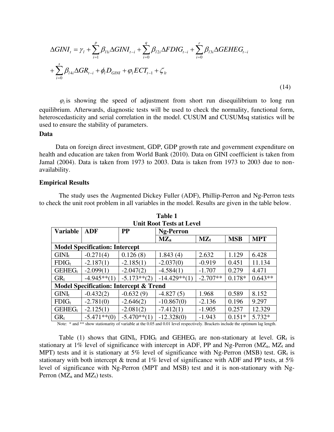$$
\Delta GINI_{t} = \gamma_{l} + \sum_{i=1}^{p} \beta_{11i} \Delta GINI_{t-i} + \sum_{i=0}^{q} \beta_{12i} \Delta FDIG_{t-i} + \sum_{i=0}^{r} \beta_{13i} \Delta GEHEG_{t-i} + \sum_{i=0}^{s} \beta_{14i} \Delta GR_{t-i} + \phi_{l} D_{GINI} + \varphi_{l} ECT_{t-1} + \zeta_{lt}
$$
\n(14)

 $\varphi$ <sub>l</sub> is showing the speed of adjustment from short run disequilibrium to long run equilibrium. Afterwards, diagnostic tests will be used to check the normality, functional form, heteroscedasticity and serial correlation in the model. CUSUM and CUSUMsq statistics will be used to ensure the stability of parameters.

#### **Data**

 Data on foreign direct investment, GDP, GDP growth rate and government expenditure on health and education are taken from World Bank (2010). Data on GINI coefficient is taken from Jamal (2004). Data is taken from 1973 to 2003. Data is taken from 1973 to 2003 due to nonavailability.

#### **Empirical Results**

The study uses the Augmented Dickey Fuller (ADF), Phillip-Perron and Ng-Perron tests to check the unit root problem in all variables in the model. Results are given in the table below.

|                                                   |                                       |                | UMI KOOL TESIS AL LEVEL |                   |            |            |
|---------------------------------------------------|---------------------------------------|----------------|-------------------------|-------------------|------------|------------|
| <b>Variable</b>                                   | <b>ADF</b>                            | <b>PP</b>      | <b>Ng-Perron</b>        |                   |            |            |
|                                                   |                                       |                | <b>MZ</b> <sub>a</sub>  | $\mathbf{MZ}_{t}$ | <b>MSB</b> | <b>MPT</b> |
|                                                   | <b>Model Specification: Intercept</b> |                |                         |                   |            |            |
| $GINI_t$                                          | $-0.271(4)$                           | 0.126(8)       | 1.843(4)                | 2.632             | 1.129      | 6.428      |
| $FDIG_t$                                          | $-2.187(1)$                           | $-2.185(1)$    | $-2.037(0)$             | $-0.919$          | 0.451      | 11.134     |
| $GEHEG_1$                                         | $-2.099(1)$                           | $-2.047(2)$    | $-4.584(1)$             | $-1.707$          | 0.279      | 4.471      |
| $GR_t$                                            | $-4.945**(1)$                         | $-5.173**$ (2) | $-14.429**(1)$          | $-2.707**$        | $0.178*$   | $0.643**$  |
| <b>Model Specification: Intercept &amp; Trend</b> |                                       |                |                         |                   |            |            |
| $GINI_t$                                          | $-0.432(2)$                           | $-0.632(9)$    | $-4.827(5)$             | 1.968             | 0.589      | 8.152      |
| $FDIG_t$                                          | $-2.781(0)$                           | $-2.646(2)$    | $-10.867(0)$            | $-2.136$          | 0.196      | 9.297      |
| $GEHEG_t$                                         | $-2.125(1)$                           | $-2.081(2)$    | $-7.412(1)$             | $-1.905$          | 0.257      | 12.329     |
| GR <sub>t</sub>                                   | $-5.471**$ (0)                        | $-5.470**$ (1) | $-12.328(0)$            | $-1.943$          | $0.151*$   | 5.732*     |

**Table 1 Unit Root Tests at Level** 

Note: \* and \*\* show stationarity of variable at the 0.05 and 0.01 level respectively. Brackets include the optimum lag length.

Table (1) shows that  $GINI_t$ ,  $FDIG_t$  and  $GEHEG_t$  are non-stationary at level.  $GR_t$  is stationary at 1% level of significance with intercept in ADF, PP and Ng-Perron ( $MZ<sub>a</sub>$ ,  $MZ<sub>t</sub>$  and MPT) tests and it is stationary at 5% level of significance with Ng-Perron (MSB) test.  $GR_t$  is stationary with both intercept & trend at 1% level of significance with ADF and PP tests, at 5% level of significance with Ng-Perron (MPT and MSB) test and it is non-stationary with Ng-Perron  $(MZ_a$  and  $MZ_t)$  tests.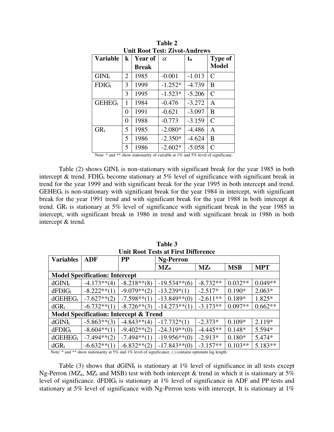| Unit Root Test: Zivot-Andrews |         |                |           |              |                |  |  |
|-------------------------------|---------|----------------|-----------|--------------|----------------|--|--|
| <b>Variable</b>               | $\bf k$ | <b>Year of</b> | $\alpha$  | $t_{\alpha}$ | <b>Type of</b> |  |  |
|                               |         | <b>Break</b>   |           |              | <b>Model</b>   |  |  |
| $GINI_t$                      | 2       | 1985           | $-0.001$  | $-1.013$     | $\mathsf{C}$   |  |  |
| $FDIG_t$                      | 3       | 1999           | $-1.252*$ | $-4.739$     | B              |  |  |
|                               | 3       | 1995           | $-1.523*$ | $-5.206$     | $\mathsf{C}$   |  |  |
| $GEHEG_t$                     | 1       | 1984           | $-0.476$  | $-3.272$     | A              |  |  |
|                               | 0       | 1991           | $-0.621$  | $-3.097$     | B              |  |  |
|                               | 0       | 1988           | $-0.773$  | $-3.159$     | $\mathcal{C}$  |  |  |
| $GR_t$                        | 5       | 1985           | $-2.080*$ | $-4.486$     | Α              |  |  |
|                               | 5       | 1986           | $-2.350*$ | $-4.624$     | B              |  |  |
|                               | 5       | 1986           | $-2.602*$ | $-5.058$     | $\overline{C}$ |  |  |

**Table 2 Unit Root Test: Zivot-Andrews** 

Note: \* and \*\* show stationarity of variable at 1% and 5% level of significane.

Table  $(2)$  shows GINI<sub>t</sub> is non-stationary with significant break for the year 1985 in both intercept & trend. FDIG<sub>t</sub> become stationary at 5% level of significance with significant break in trend for the year 1999 and with significant break for the year 1995 in both intercept and trend.  $GEHEG<sub>t</sub>$  is non-stationary with significant break for the year 1984 in intercept, with significant break for the year 1991 trend and with significant break for the year 1988 in both intercept & trend.  $GR_t$  is stationary at 5% level of significance with significant break in the year 1985 in intercept, with significant break in 1986 in trend and with significant break in 1986 in both intercept & trend.

| Unit Root Tests at First Difference               |                                       |                |                  |                   |            |            |
|---------------------------------------------------|---------------------------------------|----------------|------------------|-------------------|------------|------------|
| <b>Variables</b>                                  | <b>ADF</b>                            | <b>PP</b>      | <b>Ng-Perron</b> |                   |            |            |
|                                                   |                                       |                | $MZ_a$           | $\mathbf{MZ}_{t}$ | <b>MSB</b> | <b>MPT</b> |
|                                                   | <b>Model Specification: Intercept</b> |                |                  |                   |            |            |
| $dGINI_t$                                         | $-4.173**$ (4)                        | $-8.218**$ (8) | $-19.534**$ (6)  | $-8.732**$        | $0.032**$  | $0.049**$  |
| $dFDIG_t$                                         | $-8.222**(1)$                         | $-9.079**$ (2) | $-13.239*(1)$    | $-2.517*$         | $0.190*$   | $2.063*$   |
| $d$ GEHE $G_t$                                    | $-7.627**$ (2)                        | $-7.598**$ (1) | $-13.849**$ (0)  | $-2.611**$        | $0.189*$   | 1.825*     |
| $dGR_t$                                           | $-6.732**(1)$                         | $-8.726**$ (3) | $-14.273**(1)$   | $-3.173**$        | $0.097**$  | $0.662**$  |
| <b>Model Specification: Intercept &amp; Trend</b> |                                       |                |                  |                   |            |            |
| $dGINI_t$                                         | $-5.863**$ (3)                        | $-4.843**$ (4) | $-17.732*(1)$    | $-2.373*$         | $0.109*$   | 2.119*     |
| $dFDIG_t$                                         | $-8.604**$ (1)                        | $-9.402**$ (2) | $-24.319**$ (0)  | $-4.445**$        | $0.148*$   | 5.594*     |
| $dGEHEG_t$                                        | $-7.494**$ (2)                        | $-7.494**(1)$  | $-19.956**(0)$   | $-2.913*$         | $0.180*$   | 5.474*     |
| $dGR_t$<br>1 abrah 1                              | $-6.632**(1)$                         | $-6.832**$ (2) | $-17.843**(0)$   | $-3.157**$        | $0.103**$  | $5.183**$  |

**Table 3 Unit Root Tests at First Difference** 

Note: \* and \*\* show stationarity at 5% and 1% level of significance. (.) contains optimum lag length.

Table (3) shows that  $dGINI_t$  is stationary at 1% level of significance in all tests except Ng-Perron (MZ<sub>a</sub>, MZ<sub>t</sub> and MSB) test with both intercept & trend in which it is stationary at 5% level of significance.  $dFDIG_t$  is stationary at 1% level of significance in ADF and PP tests and stationary at 5% level of significance with Ng-Perron tests with intercept. It is stationary at 1%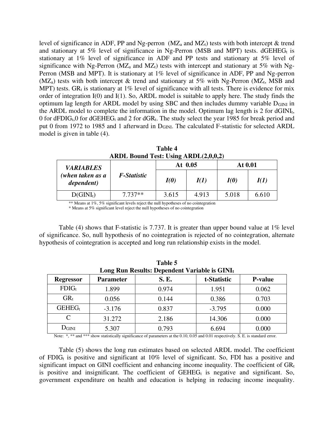level of significance in ADF, PP and Ng-perron  $(MZ_a)$  and  $MZ_t$ ) tests with both intercept & trend and stationary at 5% level of significance in Ng-Perron (MSB and MPT) tests.  $dGEHEG_t$  is stationary at 1% level of significance in ADF and PP tests and stationary at 5% level of significance with Ng-Perron ( $MZ_a$  and  $MZ_t$ ) tests with intercept and stationary at 5% with Ng-Perron (MSB and MPT). It is stationary at 1% level of significance in ADF, PP and Ng-perron (MZ<sub>a</sub>) tests with both intercept  $\&$  trend and stationary at 5% with Ng-Perron (MZ<sub>t</sub>, MSB and MPT) tests. GR<sub>t</sub> is stationary at 1% level of significance with all tests. There is evidence for mix order of integration I(0) and I(1). So, ARDL model is suitable to apply here. The study finds the optimum lag length for ARDL model by using SBC and then includes dummy variable  $D_{GINI}$  in the ARDL model to complete the information in the model. Optimum lag length is  $2$  for dGINI<sub>t</sub>, 0 for dFDIG<sub>t</sub>,0 for dGEHEG<sub>t</sub> and 2 for dGR<sub>t</sub>. The study select the year 1985 for break period and put 0 from 1972 to 1985 and 1 afterward in D<sub>GINI</sub>. The calculated F-statistic for selected ARDL model is given in table (4).

| ARDL Bound Test: Using ARDL(2,0,0,2) |             |           |       |         |       |  |  |
|--------------------------------------|-------------|-----------|-------|---------|-------|--|--|
| <b>VARIABLES</b>                     |             | At $0.05$ |       | At 0.01 |       |  |  |
| (when taken as a<br>dependent)       | F-Statistic | I(0)      | I(1)  | I(0)    | I(1)  |  |  |
| $D(GINI_t)$                          | $7.737**$   | 3.615     | 4.913 | 5.018   | 6.610 |  |  |

**Table 4** 

\*\* Means at 1%, 5% significant levels reject the null hypotheses of no cointegration

\* Means at 5% significant level reject the null hypotheses of no cointegration

Table (4) shows that F-statistic is 7.737. It is greater than upper bound value at 1% level of significance. So, null hypothesis of no cointegration is rejected of no cointegration, alternate hypothesis of cointegration is accepted and long run relationship exists in the model.

| Table 5<br>Long Run Results: Dependent Variable is GINIt |                  |             |             |                |  |
|----------------------------------------------------------|------------------|-------------|-------------|----------------|--|
| <b>Regressor</b>                                         | <b>Parameter</b> | <b>S.E.</b> | t-Statistic | <b>P-value</b> |  |
| $FDIG_t$                                                 | 1.899            | 0.974       | 1.951       | 0.062          |  |
| $GR_t$                                                   | 0.056            | 0.144       | 0.386       | 0.703          |  |
| $GEHEG_t$                                                | $-3.176$         | 0.837       | $-3.795$    | 0.000          |  |
| $\mathcal{C}_{\mathcal{C}}$                              | 31.272           | 2.186       | 14.306      | 0.000          |  |
| $D_{\text{GINI}}$                                        | 5.307            | 0.793       | 6.694       | 0.000          |  |

Note: \*, \*\* and \*\*\* show statistically significance of parameters at the 0.10, 0.05 and 0.01 respectively. S. E. is standard error.

Table (5) shows the long run estimates based on selected ARDL model. The coefficient of FDIG<sub>t</sub> is positive and significant at  $10\%$  level of significant. So, FDI has a positive and significant impact on GINI coefficient and enhancing income inequality. The coefficient of  $GR<sub>t</sub>$ is positive and insignificant. The coefficient of  $GEHEG<sub>t</sub>$  is negative and significant. So, government expenditure on health and education is helping in reducing income inequality.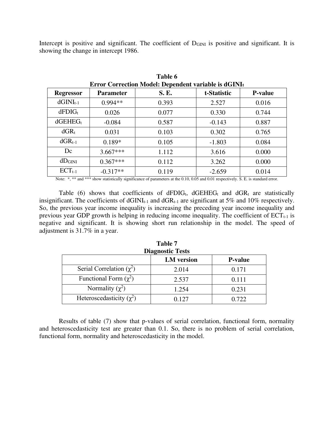Intercept is positive and significant. The coefficient of  $D_{\text{GINI}}$  is positive and significant. It is showing the change in intercept 1986.

**Table 6** 

| Error Correction Model: Dependent variable is dGINIt |                  |       |             |                |  |  |
|------------------------------------------------------|------------------|-------|-------------|----------------|--|--|
| <b>Regressor</b>                                     | <b>Parameter</b> | S. E. | t-Statistic | <b>P-value</b> |  |  |
| $dGINI_{t-1}$                                        | $0.994**$        | 0.393 | 2.527       | 0.016          |  |  |
| $dFDIG_t$                                            | 0.026            | 0.077 | 0.330       | 0.744          |  |  |
| $dGEHEG_t$                                           | $-0.084$         | 0.587 | $-0.143$    | 0.887          |  |  |
| $dGR_t$                                              | 0.031            | 0.103 | 0.302       | 0.765          |  |  |
| $dGR_{t-1}$                                          | $0.189*$         | 0.105 | $-1.803$    | 0.084          |  |  |
| Dc                                                   | $3.667***$       | 1.112 | 3.616       | 0.000          |  |  |
| dD <sub>GINI</sub>                                   | $0.367***$       | 0.112 | 3.262       | 0.000          |  |  |
| $ECT_{t-1}$                                          | $-0.317**$       | 0.119 | $-2.659$    | 0.014          |  |  |

Note: \*, \*\* and \*\*\* show statistically significance of parameters at the 0.10, 0.05 and 0.01 respectively. S. E. is standard error.

Table (6) shows that coefficients of dFDIG<sub>t</sub>, dGEHEG<sub>t</sub> and dGR<sub>t</sub> are statistically insignificant. The coefficients of  $dGINI_{t-1}$  and  $dGR_{t-1}$  are significant at 5% and 10% respectively. So, the previous year income inequality is increasing the preceding year income inequality and previous year GDP growth is helping in reducing income inequality. The coefficient of  $ECT_{t-1}$  is negative and significant. It is showing short run relationship in the model. The speed of adjustment is 31.7% in a year.

| <b>Diagnostic Tests</b>       |                   |                |  |  |
|-------------------------------|-------------------|----------------|--|--|
|                               | <b>LM</b> version | <b>P-value</b> |  |  |
| Serial Correlation $(\chi^2)$ | 2.014             | 0.171          |  |  |
| Functional Form $(\chi^2)$    | 2.537             | 0.111          |  |  |
| Normality $(\chi^2)$          | 1.254             | 0.231          |  |  |
| Heteroscedasticity $(\chi^2)$ | 0.127             | 0.722          |  |  |

| Table 7                 |  |
|-------------------------|--|
| <b>Diagnostic Tests</b> |  |
|                         |  |

Results of table (7) show that p-values of serial correlation, functional form, normality and heteroscedasticity test are greater than 0.1. So, there is no problem of serial correlation, functional form, normality and heteroscedasticity in the model.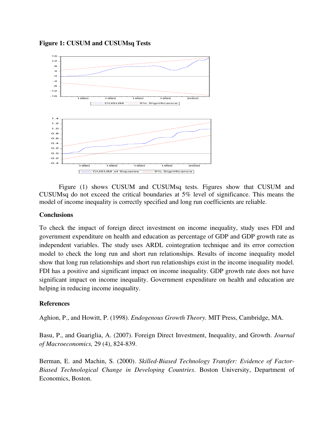



Figure (1) shows CUSUM and CUSUMsq tests. Figures show that CUSUM and CUSUMsq do not exceed the critical boundaries at 5% level of significance. This means the model of income inequality is correctly specified and long run coefficients are reliable.

## **Conclusions**

To check the impact of foreign direct investment on income inequality, study uses FDI and government expenditure on health and education as percentage of GDP and GDP growth rate as independent variables. The study uses ARDL cointegration technique and its error correction model to check the long run and short run relationships. Results of income inequality model show that long run relationships and short run relationships exist in the income inequality model. FDI has a positive and significant impact on income inequality. GDP growth rate does not have significant impact on income inequality. Government expenditure on health and education are helping in reducing income inequality.

# **References**

Aghion, P., and Howitt, P. (1998). *Endogenous Growth Theory.* MIT Press, Cambridge, MA.

Basu, P., and Guariglia, A. (2007). Foreign Direct Investment, Inequality, and Growth. *Journal of Macroeconomics,* 29 (4), 824-839.

Berman, E. and Machin, S. (2000). *Skilled-Biased Technology Transfer: Evidence of Factor-Biased Technological Change in Developing Countries*. Boston University, Department of Economics, Boston.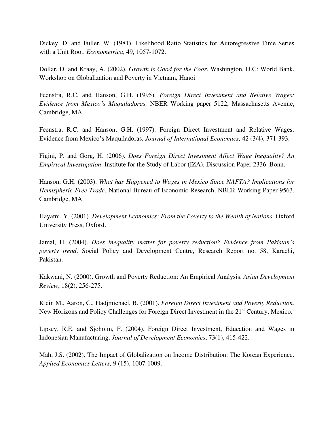Dickey, D. and Fuller, W. (1981). Likelihood Ratio Statistics for Autoregressive Time Series with a Unit Root. *Econometrica*, 49, 1057-1072.

Dollar, D. and Kraay, A. (2002). *Growth is Good for the Poor*. Washington, D.C: World Bank, Workshop on Globalization and Poverty in Vietnam*,* Hanoi.

Feenstra, R.C. and Hanson, G.H. (1995). *Foreign Direct Investment and Relative Wages: Evidence from Mexico's Maquiladoras.* NBER Working paper 5122, Massachusetts Avenue, Cambridge, MA.

Feenstra, R.C. and Hanson, G.H. (1997). Foreign Direct Investment and Relative Wages: Evidence from Mexico's Maquiladoras. *Journal of International Economics,* 42 (3/4), 371-393.

Figini, P. and Gorg, H. (2006). *Does Foreign Direct Investment Affect Wage Inequality? An Empirical Investigation*. Institute for the Study of Labor (IZA), Discussion Paper 2336. Bonn.

Hanson, G.H. (2003). *What has Happened to Wages in Mexico Since NAFTA? Implications for Hemispheric Free Trade*. National Bureau of Economic Research, NBER Working Paper 9563. Cambridge, MA.

Hayami, Y. (2001). *Development Economics: From the Poverty to the Wealth of Nations*. Oxford University Press, Oxford.

Jamal, H. (2004). *Does inequality matter for poverty reduction? Evidence from Pakistan's poverty trend*. Social Policy and Development Centre, Research Report no. 58, Karachi, Pakistan.

Kakwani, N. (2000). Growth and Poverty Reduction: An Empirical Analysis. *Asian Development Review*, 18(2), 256-275.

Klein M., Aaron, C., Hadjmichael, B. (2001). *Foreign Direct Investment and Poverty Reduction.*  New Horizons and Policy Challenges for Foreign Direct Investment in the 21<sup>st</sup> Century, Mexico.

Lipsey, R.E. and Sjoholm, F. (2004). Foreign Direct Investment, Education and Wages in Indonesian Manufacturing. *Journal of Development Economics*, 73(1), 415-422.

Mah, J.S. (2002). The Impact of Globalization on Income Distribution: The Korean Experience. *Applied Economics Letters,* 9 (15), 1007-1009.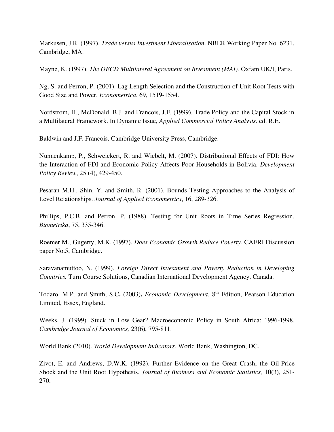Markusen, J.R. (1997). *Trade versus Investment Liberalisation*. NBER Working Paper No. 6231, Cambridge, MA.

Mayne, K. (1997). *The OECD Multilateral Agreement on Investment (MAI).* Oxfam UK/I, Paris.

Ng, S. and Perron, P. (2001). Lag Length Selection and the Construction of Unit Root Tests with Good Size and Power. *Econometrica*, 69, 1519-1554.

Nordstrom, H., McDonald, B.J. and Francois, J.F. (1999). Trade Policy and the Capital Stock in a Multilateral Framework. In Dynamic Issue, *Applied Commercial Policy Analysis*. ed. R.E.

Baldwin and J.F. Francois. Cambridge University Press, Cambridge.

Nunnenkamp, P., Schweickert, R. and Wiebelt, M. (2007). Distributional Effects of FDI: How the Interaction of FDI and Economic Policy Affects Poor Households in Bolivia. *Development Policy Review*, 25 (4), 429-450.

Pesaran M.H., Shin, Y. and Smith, R. (2001). Bounds Testing Approaches to the Analysis of Level Relationships. *Journal of Applied Econometrics*, 16, 289-326.

Phillips, P.C.B. and Perron, P. (1988). Testing for Unit Roots in Time Series Regression. *Biometrika*, 75, 335-346.

Roemer M., Gugerty, M.K. (1997). *Does Economic Growth Reduce Poverty*. CAERI Discussion paper No.5, Cambridge.

Saravanamuttoo, N. (1999). *Foreign Direct Investment and Poverty Reduction in Developing Countries.* Turn Course Solutions, Canadian International Development Agency, Canada.

Todaro, M.P. and Smith, S.C**.** (2003)**.** *Economic Development*. 8th Edition, Pearson Education Limited, Essex, England.

Weeks, J. (1999). Stuck in Low Gear? Macroeconomic Policy in South Africa: 1996-1998. *Cambridge Journal of Economics,* 23(6), 795-811.

World Bank (2010). *World Development Indicators.* World Bank, Washington, DC.

Zivot, E. and Andrews, D.W.K. (1992). Further Evidence on the Great Crash, the Oil-Price Shock and the Unit Root Hypothesis. *Journal of Business and Economic Statistics,* 10(3), 251- 270.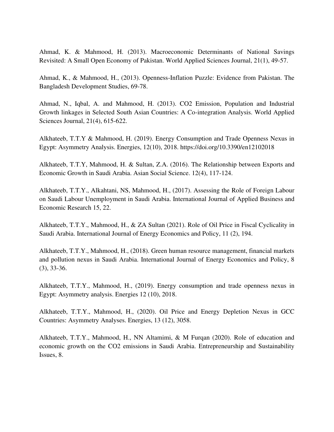Ahmad, K. & Mahmood, H. (2013). Macroeconomic Determinants of National Savings Revisited: A Small Open Economy of Pakistan. World Applied Sciences Journal, 21(1), 49-57.

Ahmad, K., & Mahmood, H., (2013). Openness-Inflation Puzzle: Evidence from Pakistan. The Bangladesh Development Studies, 69-78.

Ahmad, N., Iqbal, A. and Mahmood, H. (2013). CO2 Emission, Population and Industrial Growth linkages in Selected South Asian Countries: A Co-integration Analysis. World Applied Sciences Journal, 21(4), 615-622.

Alkhateeb, T.T.Y & Mahmood, H. (2019). Energy Consumption and Trade Openness Nexus in Egypt: Asymmetry Analysis. Energies, 12(10), 2018. https://doi.org/10.3390/en12102018

Alkhateeb, T.T.Y, Mahmood, H. & Sultan, Z.A. (2016). The Relationship between Exports and Economic Growth in Saudi Arabia. Asian Social Science. 12(4), 117-124.

Alkhateeb, T.T.Y., Alkahtani, NS, Mahmood, H., (2017). Assessing the Role of Foreign Labour on Saudi Labour Unemployment in Saudi Arabia. International Journal of Applied Business and Economic Research 15, 22.

Alkhateeb, T.T.Y., Mahmood, H., & ZA Sultan (2021). Role of Oil Price in Fiscal Cyclicality in Saudi Arabia. International Journal of Energy Economics and Policy, 11 (2), 194.

Alkhateeb, T.T.Y., Mahmood, H., (2018). Green human resource management, financial markets and pollution nexus in Saudi Arabia. International Journal of Energy Economics and Policy, 8 (3), 33-36.

Alkhateeb, T.T.Y., Mahmood, H., (2019). Energy consumption and trade openness nexus in Egypt: Asymmetry analysis. Energies 12 (10), 2018.

Alkhateeb, T.T.Y., Mahmood, H., (2020). Oil Price and Energy Depletion Nexus in GCC Countries: Asymmetry Analyses. Energies, 13 (12), 3058.

Alkhateeb, T.T.Y., Mahmood, H., NN Altamimi, & M Furqan (2020). Role of education and economic growth on the CO2 emissions in Saudi Arabia. Entrepreneurship and Sustainability Issues, 8.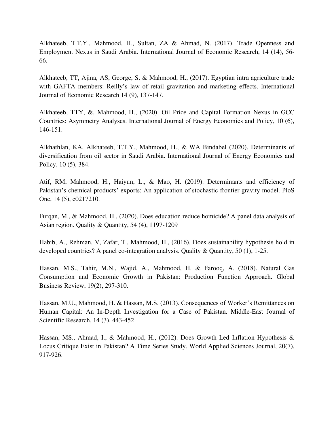Alkhateeb, T.T.Y., Mahmood, H., Sultan, ZA & Ahmad, N. (2017). Trade Openness and Employment Nexus in Saudi Arabia. International Journal of Economic Research, 14 (14), 56- 66.

Alkhateeb, TT, Ajina, AS, George, S, & Mahmood, H., (2017). Egyptian intra agriculture trade with GAFTA members: Reilly's law of retail gravitation and marketing effects. International Journal of Economic Research 14 (9), 137-147.

Alkhateeb, TTY, &, Mahmood, H., (2020). Oil Price and Capital Formation Nexus in GCC Countries: Asymmetry Analyses. International Journal of Energy Economics and Policy, 10 (6), 146-151.

Alkhathlan, KA, Alkhateeb, T.T.Y., Mahmood, H., & WA Bindabel (2020). Determinants of diversification from oil sector in Saudi Arabia. International Journal of Energy Economics and Policy, 10 (5), 384.

Atif, RM, Mahmood, H., Haiyun, L., & Mao, H. (2019). Determinants and efficiency of Pakistan's chemical products' exports: An application of stochastic frontier gravity model. PloS One, 14 (5), e0217210.

Furqan, M., & Mahmood, H., (2020). Does education reduce homicide? A panel data analysis of Asian region. Quality & Quantity, 54 (4), 1197-1209

Habib, A., Rehman, V, Zafar, T., Mahmood, H., (2016). Does sustainability hypothesis hold in developed countries? A panel co-integration analysis. Quality & Quantity, 50 (1), 1-25.

Hassan, M.S., Tahir, M.N., Wajid, A., Mahmood, H. & Farooq, A. (2018). Natural Gas Consumption and Economic Growth in Pakistan: Production Function Approach. Global Business Review, 19(2), 297-310.

Hassan, M.U., Mahmood, H. & Hassan, M.S. (2013). Consequences of Worker's Remittances on Human Capital: An In-Depth Investigation for a Case of Pakistan. Middle-East Journal of Scientific Research, 14 (3), 443-452.

Hassan, MS., Ahmad, I., & Mahmood, H., (2012). Does Growth Led Inflation Hypothesis & Locus Critique Exist in Pakistan? A Time Series Study. World Applied Sciences Journal, 20(7), 917-926.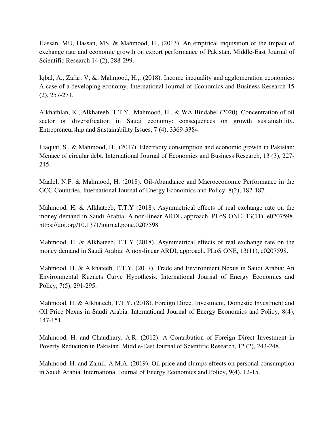Hassan, MU, Hassan, MS, & Mahmood, H., (2013). An empirical inquisition of the impact of exchange rate and economic growth on export performance of Pakistan. Middle-East Journal of Scientific Research 14 (2), 288-299.

Iqbal, A., Zafar, V, &, Mahmood, H.,, (2018). Income inequality and agglomeration economies: A case of a developing economy. International Journal of Economics and Business Research 15 (2), 257-271.

Alkhathlan, K., Alkhateeb, T.T.Y., Mahmood, H., & WA Bindabel (2020). Concentration of oil sector or diversification in Saudi economy: consequences on growth sustainability. Entrepreneurship and Sustainability Issues, 7 (4), 3369-3384.

Liaquat, S., & Mahmood, H., (2017). Electricity consumption and economic growth in Pakistan: Menace of circular debt. International Journal of Economics and Business Research, 13 (3), 227- 245.

Maalel, N.F. & Mahmood, H. (2018). Oil-Abundance and Macroeconomic Performance in the GCC Countries. International Journal of Energy Economics and Policy, 8(2), 182-187.

Mahmood, H. & Alkhateeb, T.T.Y (2018). Asymmetrical effects of real exchange rate on the money demand in Saudi Arabia: A non-linear ARDL approach. PLoS ONE, 13(11), e0207598. https://doi.org/10.1371/journal.pone.0207598

Mahmood, H. & Alkhateeb, T.T.Y (2018). Asymmetrical effects of real exchange rate on the money demand in Saudi Arabia: A non-linear ARDL approach. PLoS ONE, 13(11), e0207598.

Mahmood, H. & Alkhateeb, T.T.Y. (2017). Trade and Environment Nexus in Saudi Arabia: An Environmental Kuznets Curve Hypothesis. International Journal of Energy Economics and Policy, 7(5), 291-295.

Mahmood, H. & Alkhateeb, T.T.Y. (2018). Foreign Direct Investment, Domestic Investment and Oil Price Nexus in Saudi Arabia. International Journal of Energy Economics and Policy, 8(4), 147-151.

Mahmood, H. and Chaudhary, A.R. (2012). A Contribution of Foreign Direct Investment in Poverty Reduction in Pakistan. Middle-East Journal of Scientific Research, 12 (2), 243-248.

Mahmood, H. and Zamil, A.M.A. (2019). Oil price and slumps effects on personal consumption in Saudi Arabia. International Journal of Energy Economics and Policy, 9(4), 12-15.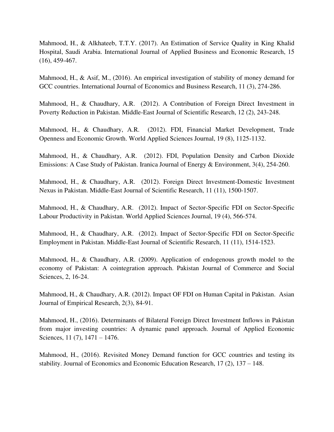Mahmood, H., & Alkhateeb, T.T.Y. (2017). An Estimation of Service Quality in King Khalid Hospital, Saudi Arabia. International Journal of Applied Business and Economic Research, 15 (16), 459-467.

Mahmood, H., & Asif, M., (2016). An empirical investigation of stability of money demand for GCC countries. International Journal of Economics and Business Research, 11 (3), 274-286.

Mahmood, H., & Chaudhary, A.R. (2012). A Contribution of Foreign Direct Investment in Poverty Reduction in Pakistan. Middle-East Journal of Scientific Research, 12 (2), 243-248.

Mahmood, H., & Chaudhary, A.R. (2012). FDI, Financial Market Development, Trade Openness and Economic Growth. World Applied Sciences Journal, 19 (8), 1125-1132.

Mahmood, H., & Chaudhary, A.R. (2012). FDI, Population Density and Carbon Dioxide Emissions: A Case Study of Pakistan. Iranica Journal of Energy & Environment, 3(4), 254-260.

Mahmood, H., & Chaudhary, A.R. (2012). Foreign Direct Investment-Domestic Investment Nexus in Pakistan. Middle-East Journal of Scientific Research, 11 (11), 1500-1507.

Mahmood, H., & Chaudhary, A.R. (2012). Impact of Sector-Specific FDI on Sector-Specific Labour Productivity in Pakistan. World Applied Sciences Journal, 19 (4), 566-574.

Mahmood, H., & Chaudhary, A.R. (2012). Impact of Sector-Specific FDI on Sector-Specific Employment in Pakistan. Middle-East Journal of Scientific Research, 11 (11), 1514-1523.

Mahmood, H., & Chaudhary, A.R. (2009). Application of endogenous growth model to the economy of Pakistan: A cointegration approach. Pakistan Journal of Commerce and Social Sciences, 2, 16-24.

Mahmood, H., & Chaudhary, A.R. (2012). Impact OF FDI on Human Capital in Pakistan. Asian Journal of Empirical Research, 2(3), 84-91.

Mahmood, H., (2016). Determinants of Bilateral Foreign Direct Investment Inflows in Pakistan from major investing countries: A dynamic panel approach. Journal of Applied Economic Sciences, 11 (7), 1471 – 1476.

Mahmood, H., (2016). Revisited Money Demand function for GCC countries and testing its stability. Journal of Economics and Economic Education Research, 17 (2), 137 – 148.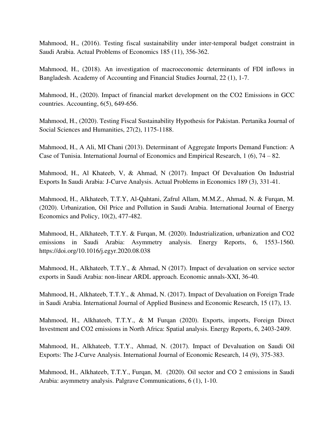Mahmood, H., (2016). Testing fiscal sustainability under inter-temporal budget constraint in Saudi Arabia. Actual Problems of Economics 185 (11), 356-362.

Mahmood, H., (2018). An investigation of macroeconomic determinants of FDI inflows in Bangladesh. Academy of Accounting and Financial Studies Journal, 22 (1), 1-7.

Mahmood, H., (2020). Impact of financial market development on the CO2 Emissions in GCC countries. Accounting, 6(5), 649-656.

Mahmood, H., (2020). Testing Fiscal Sustainability Hypothesis for Pakistan. Pertanika Journal of Social Sciences and Humanities, 27(2), 1175-1188.

Mahmood, H., A Ali, MI Chani (2013). Determinant of Aggregate Imports Demand Function: A Case of Tunisia. International Journal of Economics and Empirical Research, 1 (6), 74 – 82.

Mahmood, H., Al Khateeb, V, & Ahmad, N (2017). Impact Of Devaluation On Industrial Exports In Saudi Arabia: J-Curve Analysis. Actual Problems in Economics 189 (3), 331-41.

Mahmood, H., Alkhateeb, T.T.Y, Al-Qahtani, Zafrul Allam, M.M.Z., Ahmad, N. & Furqan, M. (2020). Urbanization, Oil Price and Pollution in Saudi Arabia. International Journal of Energy Economics and Policy, 10(2), 477-482.

Mahmood, H., Alkhateeb, T.T.Y. & Furqan, M. (2020). Industrialization, urbanization and CO2 emissions in Saudi Arabia: Asymmetry analysis. Energy Reports, 6, 1553-1560. https://doi.org/10.1016/j.egyr.2020.08.038

Mahmood, H., Alkhateeb, T.T.Y., & Ahmad, N (2017). Impact of devaluation on service sector exports in Saudi Arabia: non-linear ARDL approach. Economic annals-XXI, 36-40.

Mahmood, H., Alkhateeb, T.T.Y., & Ahmad, N. (2017). Impact of Devaluation on Foreign Trade in Saudi Arabia. International Journal of Applied Business and Economic Research, 15 (17), 13.

Mahmood, H., Alkhateeb, T.T.Y., & M Furqan (2020). Exports, imports, Foreign Direct Investment and CO2 emissions in North Africa: Spatial analysis. Energy Reports, 6, 2403-2409.

Mahmood, H., Alkhateeb, T.T.Y., Ahmad, N. (2017). Impact of Devaluation on Saudi Oil Exports: The J-Curve Analysis. International Journal of Economic Research, 14 (9), 375-383.

Mahmood, H., Alkhateeb, T.T.Y., Furqan, M. (2020). Oil sector and CO 2 emissions in Saudi Arabia: asymmetry analysis. Palgrave Communications, 6 (1), 1-10.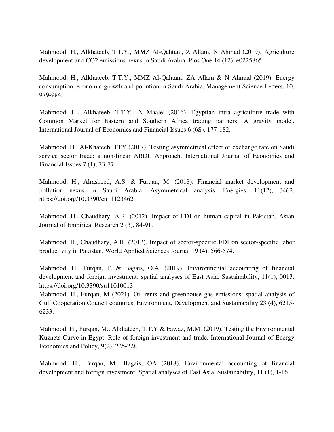Mahmood, H., Alkhateeb, T.T.Y., MMZ Al-Qahtani, Z Allam, N Ahmad (2019). Agriculture development and CO2 emissions nexus in Saudi Arabia. Plos One 14 (12), e0225865.

Mahmood, H., Alkhateeb, T.T.Y., MMZ Al-Qahtani, ZA Allam & N Ahmad (2019). Energy consumption, economic growth and pollution in Saudi Arabia. Management Science Letters, 10, 979-984.

Mahmood, H., Alkhateeb, T.T.Y., N Maalel (2016). Egyptian intra agriculture trade with Common Market for Eastern and Southern Africa trading partners: A gravity model. International Journal of Economics and Financial Issues 6 (6S), 177-182.

Mahmood, H., Al-Khateeb, TTY (2017). Testing asymmetrical effect of exchange rate on Saudi service sector trade: a non-linear ARDL Approach. International Journal of Economics and Financial Issues 7 (1), 73-77.

Mahmood, H., Alrasheed, A.S. & Furqan, M. (2018). Financial market development and pollution nexus in Saudi Arabia: Asymmetrical analysis. Energies, 11(12), 3462. https://doi.org/10.3390/en11123462

Mahmood, H., Chaudhary, A.R. (2012). Impact of FDI on human capital in Pakistan. Asian Journal of Empirical Research 2 (3), 84-91.

Mahmood, H., Chaudhary, A.R. (2012). Impact of sector-specific FDI on sector-specific labor productivity in Pakistan. World Applied Sciences Journal 19 (4), 566-574.

Mahmood, H., Furqan, F. & Bagais, O.A. (2019). Environmental accounting of financial development and foreign investment: spatial analyses of East Asia. Sustainability, 11(1), 0013. https://doi.org/10.3390/su11010013

Mahmood, H., Furqan, M (2021). Oil rents and greenhouse gas emissions: spatial analysis of Gulf Cooperation Council countries. Environment, Development and Sustainability 23 (4), 6215- 6233.

Mahmood, H., Furqan, M., Alkhateeb, T.T.Y & Fawaz, M.M. (2019). Testing the Environmental Kuznets Curve in Egypt: Role of foreign investment and trade. International Journal of Energy Economics and Policy, 9(2), 225-228.

Mahmood, H., Furqan, M., Bagais, OA (2018). Environmental accounting of financial development and foreign investment: Spatial analyses of East Asia. Sustainability, 11 (1), 1-16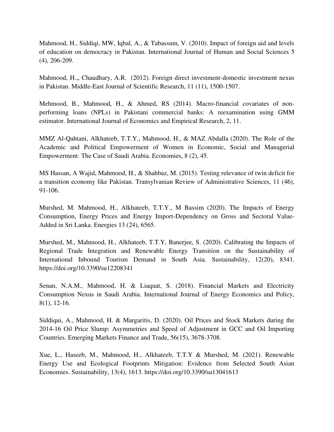Mahmood, H., Siddiqi, MW, Iqbal, A., & Tabassum, V. (2010). Impact of foreign aid and levels of education on democracy in Pakistan. International Journal of Human and Social Sciences 5 (4), 206-209.

Mahmood, H.,, Chaudhary, A.R. (2012). Foreign direct investment-domestic investment nexus in Pakistan. Middle-East Journal of Scientific Research, 11 (11), 1500-1507.

Mehmood, B., Mahmood, H., & Ahmed, RS (2014). Macro-financial covariates of nonperforming loans (NPLs) in Pakistani commercial banks: A reexamination using GMM estimator. International Journal of Economics and Empirical Research, 2, 11.

MMZ Al-Qahtani, Alkhateeb, T.T.Y., Mahmood, H., & MAZ Abdalla (2020). The Role of the Academic and Political Empowerment of Women in Economic, Social and Managerial Empowerment: The Case of Saudi Arabia. Economies, 8 (2), 45.

MS Hassan, A Wajid, Mahmood, H., & Shahbaz, M. (2015). Testing relevance of twin deficit for a transition economy like Pakistan. Transylvanian Review of Administrative Sciences, 11 (46), 91-106.

Murshed, M. Mahmood, H., Alkhateeb, T.T.Y., M Bassim (2020). The Impacts of Energy Consumption, Energy Prices and Energy Import-Dependency on Gross and Sectoral Value-Added in Sri Lanka. Energies 13 (24), 6565.

Murshed, M., Mahmood, H., Alkhateeb, T.T.Y, Banerjee, S. (2020). Calibrating the Impacts of Regional Trade Integration and Renewable Energy Transition on the Sustainability of International Inbound Tourism Demand in South Asia. Sustainability, 12(20), 8341. https://doi.org/10.3390/su12208341

Senan, N.A.M., Mahmood, H. & Liaquat, S. (2018). Financial Markets and Electricity Consumption Nexus in Saudi Arabia. International Journal of Energy Economics and Policy, 8(1), 12-16.

Siddiqui, A., Mahmood, H. & Margaritis, D. (2020). Oil Prices and Stock Markets during the 2014-16 Oil Price Slump: Asymmetries and Speed of Adjustment in GCC and Oil Importing Countries. Emerging Markets Finance and Trade, 56(15), 3678-3708.

Xue, L., Haseeb, M., Mahmood, H., Alkhateeb, T.T.Y & Murshed, M. (2021). Renewable Energy Use and Ecological Footprints Mitigation: Evidence from Selected South Asian Economies. Sustainability, 13(4), 1613. https://doi.org/10.3390/su13041613